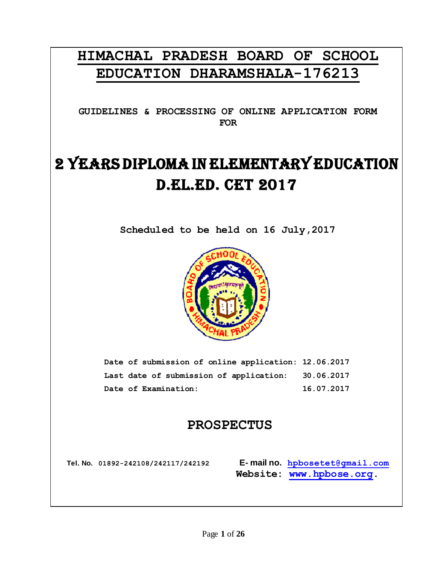# **HIMACHAL PRADESH BOARD OF SCHOOL EDUCATION DHARAMSHALA-176213**

**GUIDELINES & PROCESSING OF ONLINE APPLICATION FORM FOR**

# 2 YEARS DIPLOMA IN ELEMENTARY EDUCATION D.EL.ED. CET 2017

**Scheduled to be held on 16 July,2017**



**Date of submission of online application: 12.06.2017 Last date of submission of application: 30.06.2017 Date of Examination: 16.07.2017**

# **PROSPECTUS**

**Tel. No. 01892-242108/242117/242192 E- mail no. [hpbosetet@gmail.com](mailto:hpbose2011@gmail.com) Website: [www.hpbose.org.](http://www.hpbose.org/)**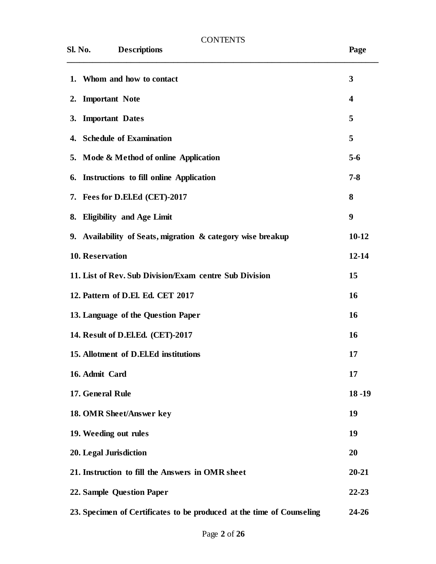| <b>CONTENTS</b>                                                       |                         |
|-----------------------------------------------------------------------|-------------------------|
| <b>Descriptions</b><br>Sl. No.                                        | Page                    |
| 1. Whom and how to contact                                            | 3                       |
| 2. Important Note                                                     | $\overline{\mathbf{4}}$ |
| 3. Important Dates                                                    | 5                       |
| 4. Schedule of Examination                                            | 5                       |
| 5. Mode & Method of online Application                                | $5 - 6$                 |
| 6. Instructions to fill online Application                            | $7 - 8$                 |
| 7. Fees for D.El.Ed (CET)-2017                                        | 8                       |
| 8. Eligibility and Age Limit                                          | 9                       |
| 9. Availability of Seats, migration & category wise breakup           | $10 - 12$               |
| 10. Reservation                                                       | $12 - 14$               |
| 11. List of Rev. Sub Division/Exam centre Sub Division                | 15                      |
| 12. Pattern of D.El. Ed. CET 2017                                     | 16                      |
| 13. Language of the Question Paper                                    | 16                      |
| 14. Result of D.El.Ed. (CET)-2017                                     | <b>16</b>               |
| 15. Allotment of D.El.Ed institutions                                 | 17                      |
| 16. Admit Card                                                        | 17                      |
| 17. General Rule                                                      | $18 - 19$               |
| 18. OMR Sheet/Answer key                                              | 19                      |
| 19. Weeding out rules                                                 | 19                      |
| 20. Legal Jurisdiction                                                | 20                      |
| 21. Instruction to fill the Answers in OMR sheet                      | $20 - 21$               |
| 22. Sample Question Paper                                             | $22 - 23$               |
| 23. Specimen of Certificates to be produced at the time of Counseling | 24-26                   |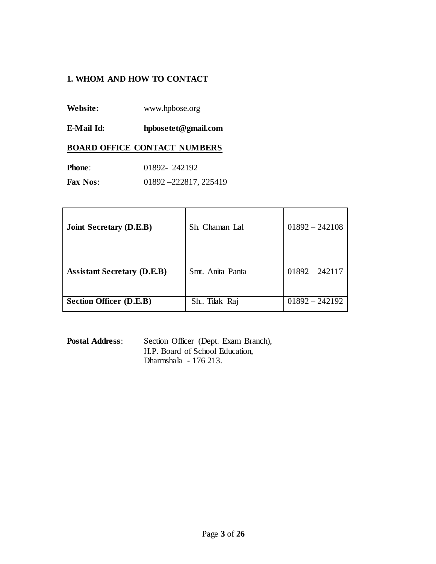# **1. WHOM AND HOW TO CONTACT**

- **Website:** www.hpbose.org
- **E-Mail Id: hpbosetet@gmail.com**

#### **BOARD OFFICE CONTACT NUMBERS**

| <b>Phone:</b>   | 01892-242192         |
|-----------------|----------------------|
| <b>Fax Nos:</b> | 01892-222817, 225419 |

| <b>Joint Secretary (D.E.B)</b>     | Sh. Chaman Lal   | $01892 - 242108$ |
|------------------------------------|------------------|------------------|
| <b>Assistant Secretary (D.E.B)</b> | Smt. Anita Panta | $01892 - 242117$ |
| <b>Section Officer (D.E.B)</b>     | Sh. Tilak Raj    | $01892 - 242192$ |

**Postal Address**: Section Officer (Dept. Exam Branch), H.P. Board of School Education, Dharmshala - 176 213.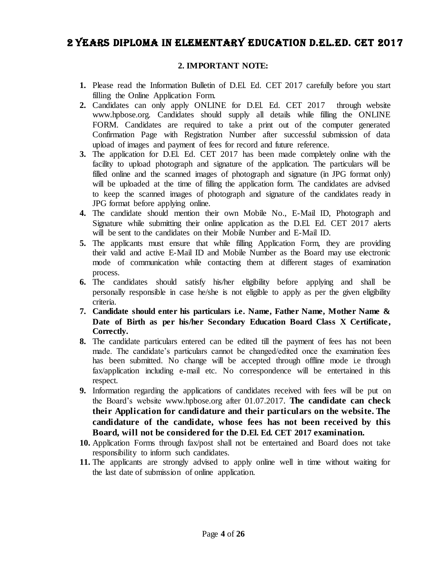# 2 YEARS DIPLOMA IN ELEMENTARY EDUCATION D.el.ed. cet 2017

#### **2. IMPORTANT NOTE:**

- **1.** Please read the Information Bulletin of D.El. Ed. CET 2017 carefully before you start filling the Online Application Form.
- **2.** Candidates can only apply ONLINE for D.El. Ed. CET 2017 through website www.hpbose.org. Candidates should supply all details while filling the ONLINE FORM. Candidates are required to take a print out of the computer generated Confirmation Page with Registration Number after successful submission of data upload of images and payment of fees for record and future reference.
- **3.** The application for D.El. Ed. CET 2017 has been made completely online with the facility to upload photograph and signature of the application. The particulars will be filled online and the scanned images of photograph and signature (in JPG format only) will be uploaded at the time of filling the application form. The candidates are advised to keep the scanned images of photograph and signature of the candidates ready in JPG format before applying online.
- **4.** The candidate should mention their own Mobile No., E-Mail ID, Photograph and Signature while submitting their online application as the D.El. Ed. CET 2017 alerts will be sent to the candidates on their Mobile Number and E-Mail ID.
- **5.** The applicants must ensure that while filling Application Form, they are providing their valid and active E-Mail ID and Mobile Number as the Board may use electronic mode of communication while contacting them at different stages of examination process.
- **6.** The candidates should satisfy his/her eligibility before applying and shall be personally responsible in case he/she is not eligible to apply as per the given eligibility criteria.
- **7. Candidate should enter his particulars i.e. Name, Father Name, Mother Name & Date of Birth as per his/her Secondary Education Board Class X Certificate , Correctly.**
- **8.** The candidate particulars entered can be edited till the payment of fees has not been made. The candidate's particulars cannot be changed/edited once the examination fees has been submitted. No change will be accepted through offline mode i.e through fax/application including e-mail etc. No correspondence will be entertained in this respect.
- **9.** Information regarding the applications of candidates received with fees will be put on the Board's website www.hpbose.org after 01.07.2017. **The candidate can check their Application for candidature and their particulars on the website. The candidature of the candidate, whose fees has not been received by this Board, will not be considered for the D.El. Ed. CET 2017 examination.**
- **10.** Application Forms through fax/post shall not be entertained and Board does not take responsibility to inform such candidates.
- **11.** The applicants are strongly advised to apply online well in time without waiting for the last date of submission of online application.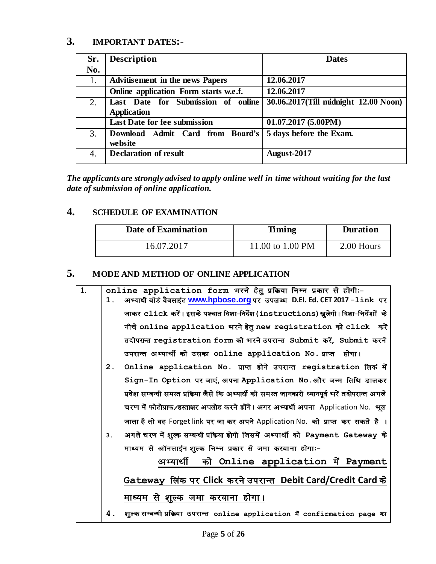# **3. IMPORTANT DATES:-**

| Sr. | <b>Description</b>                     | <b>Dates</b>                         |
|-----|----------------------------------------|--------------------------------------|
| No. |                                        |                                      |
| 1.  | <b>Advitisement in the news Papers</b> | 12.06.2017                           |
|     | Online application Form starts w.e.f.  | 12.06.2017                           |
| 2.  | Last Date for Submission of online     | 30.06.2017(Till midnight 12.00 Noon) |
|     | <b>Application</b>                     |                                      |
|     | <b>Last Date for fee submission</b>    | 01.07.2017(5.00PM)                   |
| 3.  | Download Admit Card from Board's       | 5 days before the Exam.              |
|     | website                                |                                      |
| 4.  | <b>Declaration of result</b>           | August-2017                          |
|     |                                        |                                      |

*The applicants are strongly advised to apply online well in time without waiting for the last date of submission of online application.*

# **4. SCHEDULE OF EXAMINATION**

| Date of Examination | Timing           | <b>Duration</b> |
|---------------------|------------------|-----------------|
| 16.07.2017          | 11.00 to 1.00 PM | 2.00 Hours      |

# **5. MODE AND METHOD OF ONLINE APPLICATION**

| $\overline{1}$ . |                | online application form भरने हेतू प्रक्रिया निम्न प्रकार से होगी :-                               |
|------------------|----------------|---------------------------------------------------------------------------------------------------|
|                  | $\mathbf 1$ .  | अभ्यार्थी बोर्ड वैबसाईट www.hpbose.org पर उपलब्ध D.El. Ed. CET 2017 -1ink पर                      |
|                  |                | जाकर click करें। इसके पश्चात दिशा-निर्देश (instructions) खुलेगी। दिशा-निर्देशों  के               |
|                  |                | नीचे online application भरने हेतु new registration को click करें                                  |
|                  |                | तदोपरान्त registration form को भरने उपरान्त Submit करें, Submit करने                              |
|                  |                | उपरान्त अभ्यार्थी को उसका online application No. प्राप्त होगा।                                    |
|                  | 2 <sub>1</sub> | Online application No. प्राप्त होने उपरान्त registration लिक में                                  |
|                  |                | Sign-In Option पर जाएं, अपना Application No.और जन्म तिथि डालकर                                    |
|                  |                | प्रवेश सम्बन्धी समस्त प्रक्रिया जैसे कि अभ्यार्थी की समस्त जानकारी ध्यानपूर्व भरें तदोपरान्त अगले |
|                  |                | चरण में फोटोग्राफ/हस्ताक्षर अपलोड करने होंगे। अगर अभ्यार्थी अपना Application No. भूल              |
|                  |                | जाता है तो वह Forgetlink पर जा कर अपने Application No.  को प्राप्त  कर सकते  है  ।                |
|                  | 3.             | अगले चरण में शुल्क सम्बन्धी प्रक्रिया होगी जिसमें अभ्यार्थी को Payment Gateway के                 |
|                  |                | माध्यम से ऑनलाईन शुल्क निम्न प्रकार से जमा करवाना होगाः-                                          |
|                  |                | अभ्यार्थी को Online application में Payment                                                       |
|                  |                | Gateway लिंक पर Click करने उपरान्त Debit Card/Credit Card के                                      |
|                  |                | माध्यम से शूल्क जमा करवाना होगा।                                                                  |
|                  | 4.             | शूल्क सम्बन्धी प्रक्रिया उपरान्त online application में confirmation page का                      |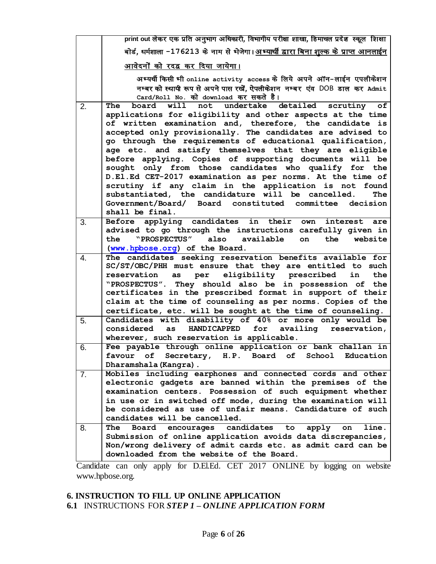|                | print out लेकर एक प्रति अनुभाग अधिकारी, विभागीय परीक्षा शाखा, हिमाचल प्रदेश  स्कूल  शिक्षा                                                                                                                                                                                                                                                                                                                                                                                                                                                                                                                                                                                                                                         |
|----------------|------------------------------------------------------------------------------------------------------------------------------------------------------------------------------------------------------------------------------------------------------------------------------------------------------------------------------------------------------------------------------------------------------------------------------------------------------------------------------------------------------------------------------------------------------------------------------------------------------------------------------------------------------------------------------------------------------------------------------------|
|                | बोर्ड, धर्मशाला -176213 के नाम से भेजेगा। <u>अभ्यार्थी द्वारा बिना शूल्क के प्राप्त आनलाईन</u>                                                                                                                                                                                                                                                                                                                                                                                                                                                                                                                                                                                                                                     |
|                | आवेदनों को रदद्व कर दिया जायेगा।                                                                                                                                                                                                                                                                                                                                                                                                                                                                                                                                                                                                                                                                                                   |
|                | अभ्यर्थी किसी भी online activity access के लिये अपने ऑन-लाईन एपलीकेशन<br>नम्बर को स्थायी रूप से अपने पास रखें, ऐपलीकेशन नम्बर एंव DOB डाल कर Admit<br>Card/Roll No. को download कर सकते है।                                                                                                                                                                                                                                                                                                                                                                                                                                                                                                                                        |
| 2.             | board will not undertake detailed scrutiny of<br>The<br>applications for eligibility and other aspects at the time<br>of written examination and, therefore, the candidate is<br>accepted only provisionally. The candidates are advised to<br>go through the requirements of educational qualification,<br>age etc. and satisfy themselves that they are eligible<br>before applying. Copies of supporting documents will be<br>sought only from those candidates who qualify for the<br>D.El.Ed CET-2017 examination as per norms. At the time of<br>scrutiny if any claim in the application is not found<br>substantiated, the candidature will be cancelled.<br>The<br>Government/Board/ Board constituted committee decision |
|                | shall be final.                                                                                                                                                                                                                                                                                                                                                                                                                                                                                                                                                                                                                                                                                                                    |
| 3.             | Before applying candidates<br>in their<br>own<br>interest<br>are<br>advised to go through the instructions carefully given in<br>"PROSPECTUS"<br>also<br>available<br>the<br>on<br>the<br>website<br>(www.hpbose.org) of the Board.                                                                                                                                                                                                                                                                                                                                                                                                                                                                                                |
| 4.             | The candidates seeking reservation benefits available for<br>SC/ST/OBC/PHH must ensure that they are entitled to such<br>per eligibility prescribed<br>reservation<br>in<br>as<br>the<br>"PROSPECTUS". They should also be in possession of the<br>certificates in the prescribed format in support of their<br>claim at the time of counseling as per norms. Copies of the<br>certificate, etc. will be sought at the time of counseling.                                                                                                                                                                                                                                                                                         |
| 5.             | Candidates with disability of 40% or more only would be<br>HANDICAPPED for availing reservation,<br>considered as<br>wherever, such reservation is applicable.                                                                                                                                                                                                                                                                                                                                                                                                                                                                                                                                                                     |
| 6.             | Fee payable through online application or bank challan in<br>Secretary, H.P. Board of<br>School<br>оf<br>Education<br>favour<br>Dharamshala (Kangra).                                                                                                                                                                                                                                                                                                                                                                                                                                                                                                                                                                              |
| 7 <sub>1</sub> | Mobiles including earphones and connected cords and other<br>electronic gadgets are banned within the premises of the<br>examination centers. Possession of such equipment whether<br>in use or in switched off mode, during the examination will<br>be considered as use of unfair means. Candidature of such<br>candidates will be cancelled.                                                                                                                                                                                                                                                                                                                                                                                    |
| 8.             | candidates<br>The<br>Board<br>encourages<br>apply<br>to<br>line.<br>on<br>Submission of online application avoids data discrepancies,<br>Non/wrong delivery of admit cards etc. as admit card can be<br>downloaded from the website of the Board.                                                                                                                                                                                                                                                                                                                                                                                                                                                                                  |

Candidate can only apply for D.El.Ed. CET 2017 ONLINE by logging on website www.hpbose.org.

# **6. INSTRUCTION TO FILL UP ONLINE APPLICATION 6.1** INSTRUCTIONS FOR *STEP 1 – ONLINE APPLICATION FORM*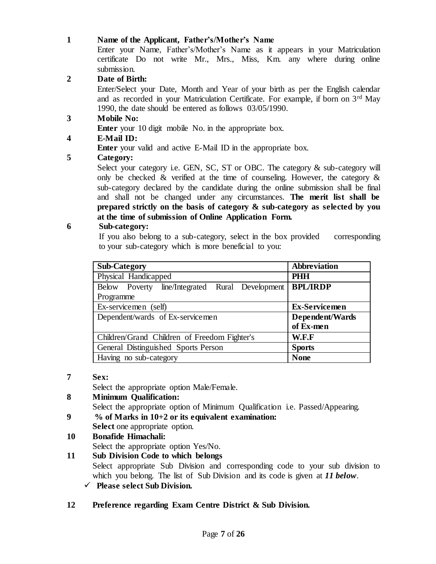#### **1 Name of the Applicant, Father's/Mother's Name**

Enter your Name, Father's/Mother's Name as it appears in your Matriculation certificate Do not write Mr., Mrs., Miss, Km. any where during online submission.

## **2 Date of Birth:**

Enter/Select your Date, Month and Year of your birth as per the English calendar and as recorded in your Matriculation Certificate. For example, if born on 3rd May 1990, the date should be entered as follows 03/05/1990.

# **3 Mobile No:**

**Enter** your 10 digit mobile No. in the appropriate box.

# **4 E-Mail ID:**

**Enter** your valid and active E-Mail ID in the appropriate box.

# **5 Category:**

Select your category i.e. GEN, SC, ST or OBC. The category  $\&$  sub-category will only be checked  $\&$  verified at the time of counseling. However, the category  $\&$ sub-category declared by the candidate during the online submission shall be final and shall not be changed under any circumstances. **The merit list shall be prepared strictly on the basis of category & sub-category as selected by you at the time of submission of Online Application Form.** 

# **6 Sub-category:**

If you also belong to a sub-category, select in the box provided corresponding to your sub-category which is more beneficial to you:

| <b>Sub-Category</b>                                | <b>Abbreviation</b>  |
|----------------------------------------------------|----------------------|
| Physical Handicapped                               | <b>PHH</b>           |
| line/Integrated Rural Development<br>Below Poverty | <b>BPL/IRDP</b>      |
| Programme                                          |                      |
| Ex-servicemen (self)                               | <b>Ex-Servicemen</b> |
| Dependent/wards of Ex-servicemen                   | Dependent/Wards      |
|                                                    | of Ex-men            |
| Children/Grand Children of Freedom Fighter's       | W.F.F                |
| General Distinguished Sports Person                | <b>Sports</b>        |
| Having no sub-category                             | <b>None</b>          |

#### **7 Sex:**

Select the appropriate option Male/Female.

- **8 Minimum Qualification:**  Select the appropriate option of Minimum Qualification i.e. Passed/Appearing.
- **9 % of Marks in 10+2 or its equivalent examination: Select** one appropriate option.
- **10 Bonafide Himachali:**  Select the appropriate option Yes/No.

**11 Sub Division Code to which belongs**  Select appropriate Sub Division and corresponding code to your sub division to which you belong. The list of Sub Division and its code is given at *11 below*. **Please select Sub Division.** 

# **12 Preference regarding Exam Centre District & Sub Division.**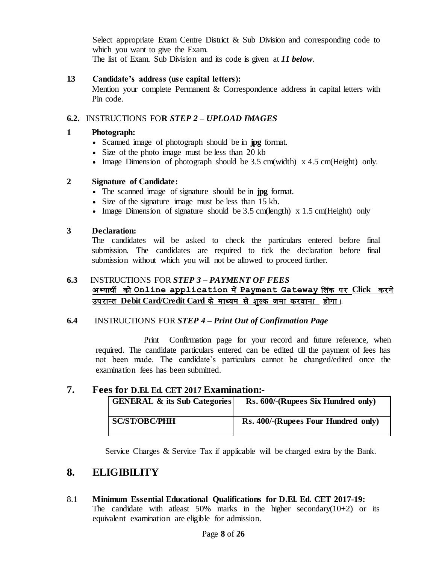Select appropriate Exam Centre District & Sub Division and corresponding code to which you want to give the Exam.

The list of Exam. Sub Division and its code is given at *11 below*.

## **13 Candidate's address (use capital letters):**

Mention your complete Permanent & Correspondence address in capital letters with Pin code.

## **6.2.** INSTRUCTIONS FO**R** *STEP 2 – UPLOAD IMAGES*

#### **1 Photograph:**

- Scanned image of photograph should be in **jpg** format.
- Size of the photo image must be less than 20 kb
- Image Dimension of photograph should be  $3.5 \text{ cm}$  (width) x  $4.5 \text{ cm}$  (Height) only.

#### **2 Signature of Candidate:**

- The scanned image of signature should be in **jpg** format.
- Size of the signature image must be less than 15 kb.
- Image Dimension of signature should be  $3.5 \text{ cm}$ (length) x  $1.5 \text{ cm}$ (Height) only

#### **3 Declaration:**

The candidates will be asked to check the particulars entered before final submission. The candidates are required to tick the declaration before final submission without which you will not be allowed to proceed further.

# **6.3** INSTRUCTIONS FOR *STEP 3 – PAYMENT OF FEES* अभ्यार्थी को Online application में Payment Gateway लिंक पर Click करने उपरान्त Debit Card/Credit Card के माध्यम से शुल्क जमा करवाना होगा।

#### **6.4** INSTRUCTIONS FOR *STEP 4 – Print Out of Confirmation Page*

Print Confirmation page for your record and future reference, when required. The candidate particulars entered can be edited till the payment of fees has not been made. The candidate's particulars cannot be changed/edited once the examination fees has been submitted.

# **7. Fees for D.El. Ed. CET 2017 Examination:-**

| <b>GENERAL &amp; its Sub Categories</b> | Rs. 600/-(Rupees Six Hundred only)  |
|-----------------------------------------|-------------------------------------|
| <b>SC/ST/OBC/PHH</b>                    | Rs. 400/-(Rupees Four Hundred only) |

Service Charges & Service Tax if applicable will be charged extra by the Bank.

# **8. ELIGIBILITY**

8.1 **Minimum Essential Educational Qualifications for D.El. Ed. CET 2017-19:** The candidate with at least  $50\%$  marks in the higher secondary( $10+2$ ) or its equivalent examination are eligible for admission.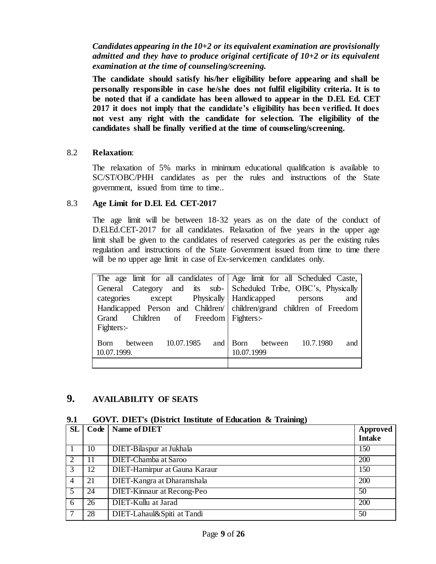*Candidates appearing in the 10+2 or its equivalent examination are provisionally admitted and they have to produce original certificate of 10+2 or its equivalent examination at the time of counseling/screening.*

**The candidate should satisfy his/her eligibility before appearing and shall be personally responsible in case he/she does not fulfil eligibility criteria. It is to be noted that if a candidate has been allowed to appear in the D.El. Ed. CET 2017 it does not imply that the candidate's eligibility has been verified. It does not vest any right with the candidate for selection. The eligibility of the candidates shall be finally verified at the time of counseling/screening.**

#### 8.2 **Relaxation**:

The relaxation of 5% marks in minimum educational qualification is available to SC/ST/OBC/PHH candidates as per the rules and instructions of the State government, issued from time to time..

#### 8.3 **Age Limit for D.El. Ed. CET-2017**

The age limit will be between 18-32 years as on the date of the conduct of D.El.Ed.CET-2017 for all candidates. Relaxation of five years in the upper age limit shall be given to the candidates of reserved categories as per the existing rules regulation and instructions of the State Government issued from time to time there will be no upper age limit in case of Ex-servicemen candidates only.

|                                                                     | The age limit for all candidates of Age limit for all Scheduled Caste, |
|---------------------------------------------------------------------|------------------------------------------------------------------------|
|                                                                     | General Category and its sub- Scheduled Tribe, OBC's, Physically       |
| categories except Physically   Handicapped persons                  | and                                                                    |
| Handicapped Person and Children/ children/grand children of Freedom |                                                                        |
| Grand Children of Freedom Fighters:-                                |                                                                        |
| Fighters:-                                                          |                                                                        |
| between 10.07.1985<br><b>B</b> orn<br>10.07.1999.                   | and Born between 10.7.1980<br>and<br>10.07.1999                        |
|                                                                     |                                                                        |

# **9. AVAILABILITY OF SEATS**

#### **9.1 GOVT. DIET's (District Institute of Education & Training)**

| <b>SL</b>      | Code | Name of DIET                      | Approved      |
|----------------|------|-----------------------------------|---------------|
|                |      |                                   | <b>Intake</b> |
|                | 10   | DIET-Bilaspur at Jukhala          | 150           |
| $\overline{2}$ | 11   | <b>DIET-Chamba at Saroo</b>       | 200           |
| 3              | 12   | DIET-Hamirpur at Gauna Karaur     | 150           |
| $\overline{4}$ | 21   | DIET-Kangra at Dharamshala        | 200           |
| 5 <sup>5</sup> | 24   | <b>DIET-Kinnaur</b> at Recong-Peo | 50            |
| 6              | 26   | DIET-Kullu at Jarad               | 200           |
|                | 28   | DIET-Lahaul&Spiti at Tandi        | 50            |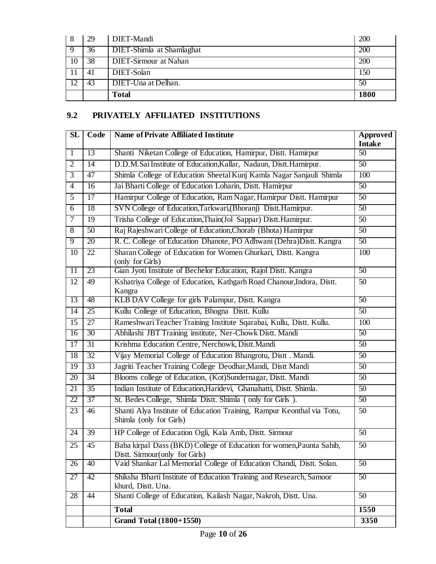| 8  | 29 | DIET-Mandi                       | 200              |
|----|----|----------------------------------|------------------|
|    | 36 | <b>DIET-Shimla</b> at Shamlaghat | $\overline{200}$ |
| 10 | 38 | <b>DIET-Sirmour at Nahan</b>     | 200              |
|    | 41 | DIET-Solan                       | 150              |
|    | 43 | DIET-Una at Delhan.              | 50               |
|    |    | <b>Total</b>                     | 1800             |

# **9.2 PRIVATELY AFFILIATED INSTITUTIONS**

| $\overline{\text{SL}}$ | Code            | <b>Name of Private Affiliated Institute</b>                                                            | <b>Approved</b><br><b>Intake</b> |
|------------------------|-----------------|--------------------------------------------------------------------------------------------------------|----------------------------------|
| $\mathbf{1}$           | 13              | Shanti Niketan College of Education, Hamirpur, Distt. Hamirpur                                         | $\overline{50}$                  |
| $\overline{2}$         | 14              | D.D.M.Sai Institute of Education, Kallar, Nadaun, Distt. Hamirpur.                                     | $\overline{50}$                  |
| $\overline{3}$         | 47              | Shimla College of Education Sheetal Kunj Kamla Nagar Sanjauli Shimla                                   | 100                              |
| $\overline{4}$         | 16              | Jai Bharti College of Education Loharin, Distt. Hamirpur                                               | $\overline{50}$                  |
| $\overline{5}$         | 17              | Hamirpur College of Education, Ram Nagar, Hamirpur Distt. Hamirpur                                     | $\overline{50}$                  |
| $\overline{6}$         | 18              | SVN College of Education, Tarkwari, (Bhoranj) Distt. Hamirpur.                                         | 50                               |
| $\tau$                 | 19              | Trisha College of Education, Thain(Jol Sappar) Distt. Hamirpur.                                        | 50                               |
| $\overline{8}$         | $\overline{50}$ | Raj Rajeshwari College of Education, Chorab (Bhota) Hamirpur                                           | $\overline{50}$                  |
| 9                      | 20              | R. C. College of Education Dhanote, PO Adhwani (Dehra)Distt. Kangra                                    | 50                               |
| 10                     | $\overline{22}$ | Sharan College of Education for Women Ghurkari, Distt. Kangra<br>(only for Girls)                      | 100                              |
| $\overline{11}$        | 23              | Gian Jyoti Institute of Bechelor Education, Rajol Distt. Kangra                                        | 50                               |
| $\overline{12}$        | 49              | Kshatriya College of Education, Kathgarh Road Chanour, Indora, Distt.<br>Kangra                        | $\overline{50}$                  |
| 13                     | 48              | KLB DAV College for girls Palampur, Distt. Kangra                                                      | 50                               |
| $\overline{14}$        | $\overline{25}$ | Kullu College of Education, Bhogna Distt. Kullu                                                        | 50                               |
| 15                     | 27              | Rameshwari Teacher Training Institute Sqarabai, Kullu, Distt. Kullu.                                   | 100                              |
| $\overline{16}$        | 30              | Abhilashi JBT Training institute, Ner-Chowk Distt. Mandi                                               | 50                               |
| $\overline{17}$        | $\overline{31}$ | Krishma Education Centre, Nerchowk, Distt.Mandi                                                        | $\overline{50}$                  |
| 18                     | $\overline{32}$ | Vijay Memorial College of Education Bhangrotu, Distt . Mandi.                                          | $\overline{50}$                  |
| 19                     | 33              | Jagriti Teacher Training College Deodhar, Mandi, Distt Mandi                                           | 50                               |
| 20                     | 34              | Blooms college of Education, (Kot)Sundernagar, Distt. Mandi                                            | 50                               |
| $\overline{21}$        | $\overline{35}$ | Indian Institute of Education, Haridevi, Ghanahatti, Distt. Shimla.                                    | 50                               |
| 22                     | 37              | St. Bedes College, Shimla Distt. Shimla (only for Girls).                                              | 50                               |
| 23                     | 46              | Shanti Alya Institute of Education Training, Rampur Keonthal via Totu,<br>Shimla (only for Girls)      | 50                               |
| 24                     | 39              | HP College of Education Ogli, Kala Amb, Distt. Sirmour                                                 | 50                               |
| 25                     | 45              | Baba kirpal Dass (BKD) College of Education for women, Paunta Sahib,<br>Distt. Sirmour(only for Girls) | $\overline{50}$                  |
| 26                     | 40              | Vaid Shankar Lal Memorial College of Education Chandi, Distt. Solan.                                   | 50                               |
| 27                     | 42              | Shiksha Bharti Institute of Education Training and Research, Samoor<br>khurd, Distt. Una.              | 50                               |
| 28                     | $\overline{44}$ | Shanti College of Education, Kailash Nagar, Nakroh, Distt. Una.                                        | $\overline{50}$                  |
|                        |                 | <b>Total</b>                                                                                           | 1550                             |
|                        |                 | <b>Grand Total (1800+1550)</b>                                                                         | 3350                             |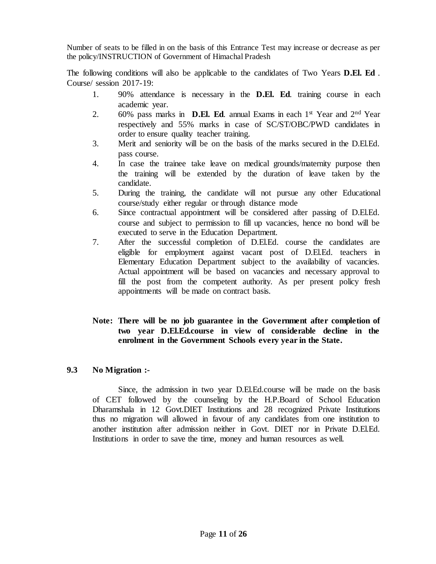Number of seats to be filled in on the basis of this Entrance Test may increase or decrease as per the policy/INSTRUCTION of Government of Himachal Pradesh

The following conditions will also be applicable to the candidates of Two Years **D.El. Ed** . Course/ session 2017-19:

- 1. 90% attendance is necessary in the **D.El. Ed**. training course in each academic year.
- 2. 60% pass marks in **D.El. Ed**. annual Exams in each 1<sup>st</sup> Year and 2<sup>nd</sup> Year respectively and 55% marks in case of SC/ST/OBC/PWD candidates in order to ensure quality teacher training.
- 3. Merit and seniority will be on the basis of the marks secured in the D.El.Ed. pass course.
- 4. In case the trainee take leave on medical grounds/maternity purpose then the training will be extended by the duration of leave taken by the candidate.
- 5. During the training, the candidate will not pursue any other Educational course/study either regular or through distance mode
- 6. Since contractual appointment will be considered after passing of D.El.Ed. course and subject to permission to fill up vacancies, hence no bond will be executed to serve in the Education Department.
- 7. After the successful completion of D.El.Ed. course the candidates are eligible for employment against vacant post of D.El.Ed. teachers in Elementary Education Department subject to the availability of vacancies. Actual appointment will be based on vacancies and necessary approval to fill the post from the competent authority. As per present policy fresh appointments will be made on contract basis.

#### **Note: There will be no job guarantee in the Government after completion of two year D.El.Ed.course in view of considerable decline in the enrolment in the Government Schools every year in the State.**

#### **9.3 No Migration :-**

Since, the admission in two year D.El.Ed.course will be made on the basis of CET followed by the counseling by the H.P.Board of School Education Dharamshala in 12 Govt.DIET Institutions and 28 recognized Private Institutions thus no migration will allowed in favour of any candidates from one institution to another institution after admission neither in Govt. DIET nor in Private D.El.Ed. Institutions in order to save the time, money and human resources as well.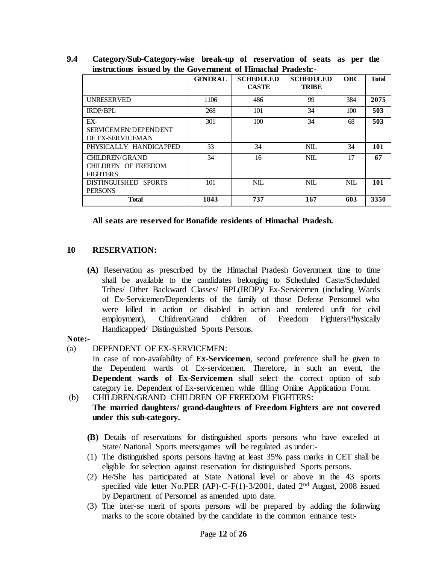| mstructions issued by the Government of Himmendi Fraueshi       |                |                                  |                                  |            |              |
|-----------------------------------------------------------------|----------------|----------------------------------|----------------------------------|------------|--------------|
|                                                                 | <b>GENERAL</b> | <b>SCHEDULED</b><br><b>CASTE</b> | <b>SCHEDULED</b><br><b>TRIBE</b> | <b>OBC</b> | <b>Total</b> |
| <b>UNRESERVED</b>                                               | 1106           | 486                              | 99                               | 384        | 2075         |
| <b>IRDP/BPL</b>                                                 | 268            | 101                              | 34                               | 100        | 503          |
| EX-<br>SERVICEM EN/DEPENDENT<br>OF EX-SERVICEMAN                | 301            | 100                              | 34                               | 68         | 503          |
| PHYSICALLY HANDICAPPED                                          | 33             | 34                               | <b>NIL</b>                       | 34         | 101          |
| <b>CHILDREN/GRAND</b><br>CHILDREN OF FREEDOM<br><b>FIGHTERS</b> | 34             | 16                               | <b>NIL</b>                       | 17         | 67           |
| DISTINGUISHED SPORTS<br><b>PERSONS</b>                          | 101            | NIL.                             | NIL                              | NIL.       | 101          |
| <b>Total</b>                                                    | 1843           | 737                              | 167                              | 603        | 3350         |

**9.4 Category/Sub-Category-wise break-up of reservation of seats as per the instructions issued by the Government of Himachal Pradesh:-**

#### **All seats are reserved for Bonafide residents of Himachal Pradesh.**

#### **10 RESERVATION:**

**(A)** Reservation as prescribed by the Himachal Pradesh Government time to time shall be available to the candidates belonging to Scheduled Caste/Scheduled Tribes/ Other Backward Classes/ BPL(IRDP)/ Ex-Servicemen (including Wards of Ex-Servicemen/Dependents of the family of those Defense Personnel who were killed in action or disabled in action and rendered unfit for civil employment), Children/Grand children of Freedom Fighters/Physically Handicapped/ Distinguished Sports Persons.

#### **Note:-**

(a) DEPENDENT OF EX-SERVICEMEN:

In case of non-availability of **Ex-Servicemen**, second preference shall be given to the Dependent wards of Ex-servicemen. Therefore, in such an event, the **Dependent wards of Ex-Servicemen** shall select the correct option of sub category i.e. Dependent of Ex-servicemen while filling Online Application Form.

- (b) CHILDREN/GRAND CHILDREN OF FREEDOM FIGHTERS: **The married daughters/ grand-daughters of Freedom Fighters are not covered under this sub-category.** 
	- **(B)** Details of reservations for distinguished sports persons who have excelled at State/ National Sports meets/games will be regulated as under:-
	- (1) The distinguished sports persons having at least 35% pass marks in CET shall be eligible for selection against reservation for distinguished Sports persons.
	- (2) He/She has participated at State National level or above in the 43 sports specified vide letter No.PER (AP)-C-F(1)-3/2001, dated 2nd August, 2008 issued by Department of Personnel as amended upto date.
	- (3) The inter-se merit of sports persons will be prepared by adding the following marks to the score obtained by the candidate in the common entrance test:-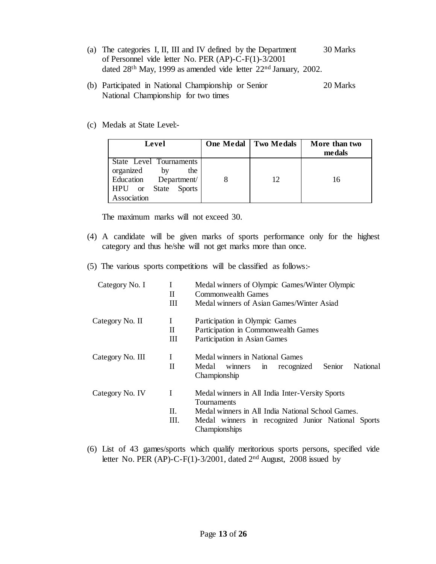- (a) The categories I, II, III and IV defined by the Department 30 Marks of Personnel vide letter No. PER (AP)-C-F(1)-3/2001 dated 28<sup>th</sup> May, 1999 as amended vide letter 22<sup>nd</sup> January, 2002.
- (b) Participated in National Championship or Senior 20 Marks National Championship for two times
- (c) Medals at State Level:-

| Level                                                                                                              | <b>One Medal</b> Two Medals | More than two<br>medals |
|--------------------------------------------------------------------------------------------------------------------|-----------------------------|-------------------------|
| State Level Tournaments<br>organized<br>by<br>the<br>Education Department/<br>  HPU or State Sports<br>Association | 12                          | 16                      |

The maximum marks will not exceed 30.

- (4) A candidate will be given marks of sports performance only for the highest category and thus he/she will not get marks more than once.
- (5) The various sports competitions will be classified as follows:-

| Category No. I   | $\bf{I}$     | Medal winners of Olympic Games/Winter Olympic                           |
|------------------|--------------|-------------------------------------------------------------------------|
|                  | H.           | Commonwealth Games                                                      |
|                  | Ш            | Medal winners of Asian Games/Winter Asiad                               |
| Category No. II  | L            | Participation in Olympic Games                                          |
|                  | $\mathbf{H}$ | Participation in Commonwealth Games                                     |
|                  | Ш            | Participation in Asian Games                                            |
| Category No. III | T            | Medal winners in National Games                                         |
|                  | $\mathbf{H}$ | National<br>Senior<br>Medal<br>recognized<br>winners in<br>Championship |
| Category No. IV  | L            | Medal winners in All India Inter-Versity Sports<br>Tournaments          |
|                  | $\Pi$ .      | Medal winners in All India National School Games.                       |
|                  | Ш.           | Medal winners in recognized Junior National Sports<br>Championships     |

(6) List of 43 games/sports which qualify meritorious sports persons, specified vide letter No. PER (AP)-C-F(1)-3/2001, dated  $2<sup>nd</sup>$  August, 2008 issued by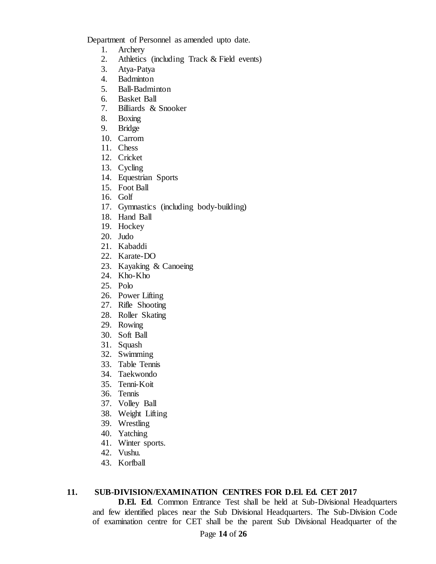Department of Personnel as amended upto date.

- 1. Archery
- 2. Athletics (including Track & Field events)
- 3. Atya-Patya
- 4. Badminton
- 5. Ball-Badminton
- 6. Basket Ball
- 7. Billiards & Snooker
- 8. Boxing
- 9. Bridge
- 10. Carrom
- 11. Chess
- 12. Cricket
- 13. Cycling
- 14. Equestrian Sports
- 15. Foot Ball
- 16. Golf
- 17. Gymnastics (including body-building)
- 18. Hand Ball
- 19. Hockey
- 20. Judo
- 21. Kabaddi
- 22. Karate-DO
- 23. Kayaking & Canoeing
- 24. Kho-Kho
- 25. Polo
- 26. Power Lifting
- 27. Rifle Shooting
- 28. Roller Skating
- 29. Rowing
- 30. Soft Ball
- 31. Squash
- 32. Swimming
- 33. Table Tennis
- 34. Taekwondo
- 35. Tenni-Koit
- 36. Tennis
- 37. Volley Ball
- 38. Weight Lifting
- 39. Wrestling
- 40. Yatching
- 41. Winter sports.
- 42. Vushu.
- 43. Korfball

#### **11. SUB-DIVISION/EXAMINATION CENTRES FOR D.El. Ed. CET 2017**

**D.El. Ed**. Common Entrance Test shall be held at Sub-Divisional Headquarters and few identified places near the Sub Divisional Headquarters. The Sub-Division Code of examination centre for CET shall be the parent Sub Divisional Headquarter of the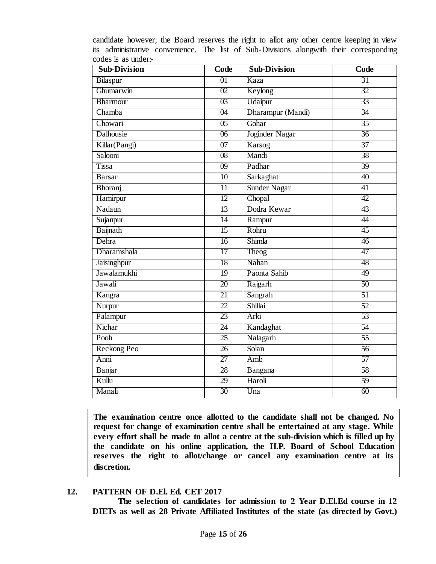| <b>Sub-Division</b> | Code            | <b>Sub-Division</b> | Code            |
|---------------------|-----------------|---------------------|-----------------|
| Bilaspur            | 01              | Kaza                | 31              |
| Ghumarwin           | 02              | Keylong             | 32              |
| Bharmour            | 03              | Udaipur             | 33              |
| Chamba              | 04              | Dharampur (Mandi)   | 34              |
| Chowari             | $\overline{05}$ | Gohar               | $\overline{35}$ |
| Dalhousie           | $\overline{06}$ | Joginder Nagar      | $\overline{36}$ |
| Killar(Pangi)       | $\overline{07}$ | Karsog              | $\overline{37}$ |
| Salooni             | 08              | Mandi               | 38              |
| <b>Tissa</b>        | 09              | Padhar              | 39              |
| <b>Barsar</b>       | $\overline{10}$ | Sarkaghat           | $\overline{40}$ |
| Bhoranj             | $\overline{11}$ | Sunder Nagar        | $\overline{41}$ |
| Hamirpur            | $\overline{12}$ | Chopal              | 42              |
| Nadaun              | 13              | Dodra Kewar         | 43              |
| Sujanpur            | $\overline{14}$ | Rampur              | 44              |
| Baijnath            | $\overline{15}$ | Rohru               | $\overline{45}$ |
| Dehra               | 16              | Shimla              | 46              |
| Dharamshala         | 17              | Theog               | 47              |
| Jaisinghpur         | 18              | Nahan               | 48              |
| Jawalamukhi         | 19              | Paonta Sahib        | 49              |
| Jawali              | 20              | Rajgarh             | 50              |
| Kangra              | $\overline{21}$ | Sangrah             | $\overline{51}$ |
| Nurpur              | $\overline{22}$ | Shillai             | $\overline{52}$ |
| Palampur            | 23              | Arki                | $\overline{53}$ |
| Nichar              | 24              | Kandaghat           | 54              |
| Pooh                | $\overline{25}$ | Nalagarh            | $\overline{55}$ |
| Reckong Peo         | $\overline{26}$ | Solan               | 56              |
| Anni                | $\overline{27}$ | Amb                 | 57              |
| Banjar              | 28              | Bangana             | 58              |
| Kullu               | 29              | Haroli              | $\overline{59}$ |
| Manali              | 30              | Una                 | 60              |

candidate however; the Board reserves the right to allot any other centre keeping in view its administrative convenience. The list of Sub-Divisions alongwith their corresponding codes is as under:-

**The examination centre once allotted to the candidate shall not be changed. No request for change of examination centre shall be entertained at any stage. While every effort shall be made to allot a centre at the sub-division which is filled up by the candidate on his online application, the H.P. Board of School Education reserves the right to allot/change or cancel any examination centre at its discretion.** 

#### **12. PATTERN OF D.El. Ed. CET 2017**

**The selection of candidates for admission to 2 Year D.El.Ed course in 12 DIETs as well as 28 Private Affiliated Institutes of the state (as directed by Govt.)**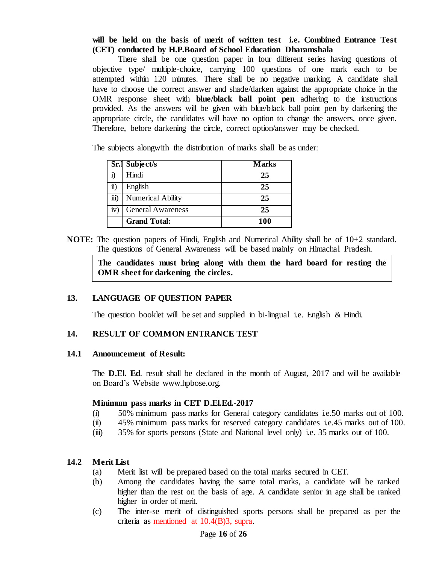#### **will be held on the basis of merit of written test i.e. Combined Entrance Test (CET) conducted by H.P.Board of School Education Dharamshala**

There shall be one question paper in four different series having questions of objective type/ multiple-choice, carrying 100 questions of one mark each to be attempted within 120 minutes. There shall be no negative marking. A candidate shall have to choose the correct answer and shade/darken against the appropriate choice in the OMR response sheet with **blue/black ball point pen** adhering to the instructions provided. As the answers will be given with blue/black ball point pen by darkening the appropriate circle, the candidates will have no option to change the answers, once given. Therefore, before darkening the circle, correct option/answer may be checked.

The subjects alongwith the distribution of marks shall be as under:

|                      | Sr.l Subject/s           | <b>Marks</b> |
|----------------------|--------------------------|--------------|
|                      | Hindi                    | 25           |
| $\ddot{\textbf{i}})$ | English                  | 25           |
| iii)                 | <b>Numerical Ability</b> | 25           |
| iv)                  | <b>General Awareness</b> | 25           |
|                      | <b>Grand Total:</b>      | 100          |

**NOTE:** The question papers of Hindi, English and Numerical Ability shall be of 10+2 standard. The questions of General Awareness will be based mainly on Himachal Pradesh.

**The candidates must bring along with them the hard board for resting the OMR sheet for darkening the circles.** 

#### **13. LANGUAGE OF QUESTION PAPER**

The question booklet will be set and supplied in bi-lingual i.e. English & Hindi.

#### **14. RESULT OF COMMON ENTRANCE TEST**

#### **14.1 Announcement of Result:**

The **D.El. Ed**. result shall be declared in the month of August, 2017 and will be available on Board's Website www.hpbose.org.

#### **Minimum pass marks in CET D.El.Ed.-2017**

- (i) 50% minimum pass marks for General category candidates i.e.50 marks out of 100.
- (ii) 45% minimum pass marks for reserved category candidates i.e.45 marks out of 100.
- (iii) 35% for sports persons (State and National level only) i.e. 35 marks out of 100.

#### **14.2 Merit List**

- (a) Merit list will be prepared based on the total marks secured in CET.
- (b) Among the candidates having the same total marks, a candidate will be ranked higher than the rest on the basis of age. A candidate senior in age shall be ranked higher in order of merit.
- (c) The inter-se merit of distinguished sports persons shall be prepared as per the criteria as mentioned at 10.4(B)3, supra.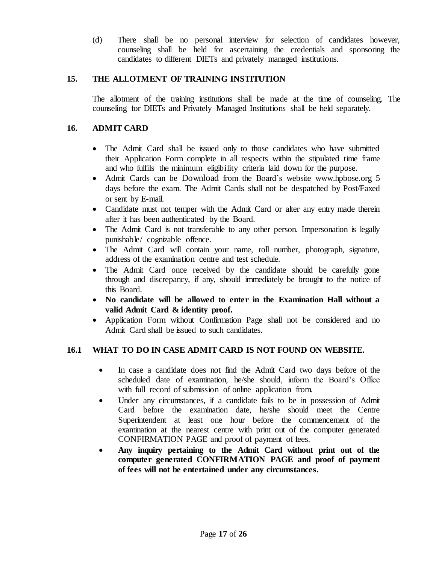(d) There shall be no personal interview for selection of candidates however, counseling shall be held for ascertaining the credentials and sponsoring the candidates to different DIETs and privately managed institutions.

#### **15. THE ALLOTMENT OF TRAINING INSTITUTION**

The allotment of the training institutions shall be made at the time of counseling. The counseling for DIETs and Privately Managed Institutions shall be held separately.

#### **16. ADMIT CARD**

- The Admit Card shall be issued only to those candidates who have submitted their Application Form complete in all respects within the stipulated time frame and who fulfils the minimum eligibility criteria laid down for the purpose.
- Admit Cards can be Download from the Board's website www.hpbose.org 5 days before the exam. The Admit Cards shall not be despatched by Post/Faxed or sent by E-mail.
- Candidate must not temper with the Admit Card or alter any entry made therein after it has been authenticated by the Board.
- The Admit Card is not transferable to any other person. Impersonation is legally punishable/ cognizable offence.
- The Admit Card will contain your name, roll number, photograph, signature, address of the examination centre and test schedule.
- The Admit Card once received by the candidate should be carefully gone through and discrepancy, if any, should immediately be brought to the notice of this Board.
- **No candidate will be allowed to enter in the Examination Hall without a valid Admit Card & identity proof.**
- Application Form without Confirmation Page shall not be considered and no Admit Card shall be issued to such candidates.

#### **16.1 WHAT TO DO IN CASE ADMIT CARD IS NOT FOUND ON WEBSITE.**

- In case a candidate does not find the Admit Card two days before of the scheduled date of examination, he/she should, inform the Board's Office with full record of submission of online application from.
- Under any circumstances, if a candidate fails to be in possession of Admit Card before the examination date, he/she should meet the Centre Superintendent at least one hour before the commencement of the examination at the nearest centre with print out of the computer generated CONFIRMATION PAGE and proof of payment of fees.
- **Any inquiry pertaining to the Admit Card without print out of the computer generated CONFIRMATION PAGE and proof of payment of fees will not be entertained under any circumstances.**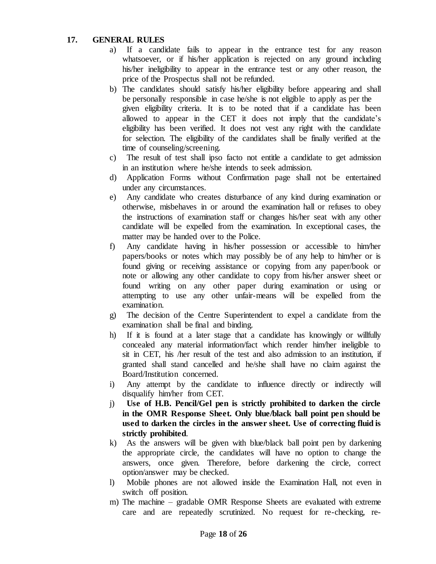#### **17. GENERAL RULES**

- a) If a candidate fails to appear in the entrance test for any reason whatsoever, or if his/her application is rejected on any ground including his/her ineligibility to appear in the entrance test or any other reason, the price of the Prospectus shall not be refunded.
- b) The candidates should satisfy his/her eligibility before appearing and shall be personally responsible in case he/she is not eligible to apply as per the given eligibility criteria. It is to be noted that if a candidate has been allowed to appear in the CET it does not imply that the candidate's eligibility has been verified. It does not vest any right with the candidate for selection. The eligibility of the candidates shall be finally verified at the time of counseling/screening.
- c) The result of test shall ipso facto not entitle a candidate to get admission in an institution where he/she intends to seek admission.
- d) Application Forms without Confirmation page shall not be entertained under any circumstances.
- e) Any candidate who creates disturbance of any kind during examination or otherwise, misbehaves in or around the examination hall or refuses to obey the instructions of examination staff or changes his/her seat with any other candidate will be expelled from the examination. In exceptional cases, the matter may be handed over to the Police.
- f) Any candidate having in his/her possession or accessible to him/her papers/books or notes which may possibly be of any help to him/her or is found giving or receiving assistance or copying from any paper/book or note or allowing any other candidate to copy from his/her answer sheet or found writing on any other paper during examination or using or attempting to use any other unfair-means will be expelled from the examination.
- g) The decision of the Centre Superintendent to expel a candidate from the examination shall be final and binding.
- h) If it is found at a later stage that a candidate has knowingly or willfully concealed any material information/fact which render him/her ineligible to sit in CET, his /her result of the test and also admission to an institution, if granted shall stand cancelled and he/she shall have no claim against the Board/Institution concerned.
- i) Any attempt by the candidate to influence directly or indirectly will disqualify him/her from CET.
- j) **Use of H.B. Pencil/Gel pen is strictly prohibited to darken the circle in the OMR Response Sheet. Only blue/black ball point pen should be used to darken the circles in the answer sheet. Use of correcting fluid is strictly prohibited**.
- k) As the answers will be given with blue/black ball point pen by darkening the appropriate circle, the candidates will have no option to change the answers, once given. Therefore, before darkening the circle, correct option/answer may be checked.
- l) Mobile phones are not allowed inside the Examination Hall, not even in switch off position.
- m) The machine gradable OMR Response Sheets are evaluated with extreme care and are repeatedly scrutinized. No request for re-checking, re-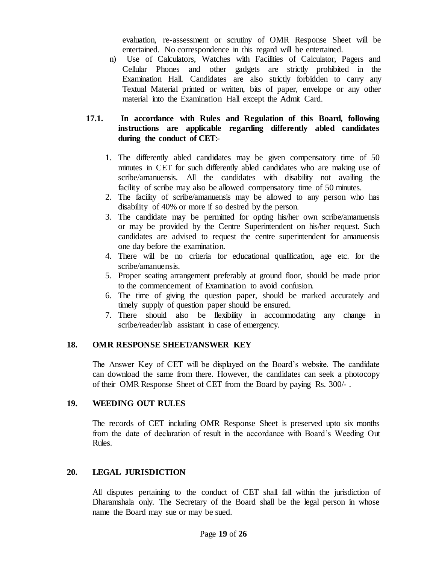evaluation, re-assessment or scrutiny of OMR Response Sheet will be entertained. No correspondence in this regard will be entertained.

n) Use of Calculators, Watches with Facilities of Calculator, Pagers and Cellular Phones and other gadgets are strictly prohibited in the Examination Hall. Candidates are also strictly forbidden to carry any Textual Material printed or written, bits of paper, envelope or any other material into the Examination Hall except the Admit Card.

#### **17.1. In accordance with Rules and Regulation of this Board, following instructions are applicable regarding differently abled candidates during the conduct of CET**:-

- 1. The differently abled candi**d**ates may be given compensatory time of 50 minutes in CET for such differently abled candidates who are making use of scribe/amanuensis. All the candidates with disability not availing the facility of scribe may also be allowed compensatory time of 50 minutes.
- 2. The facility of scribe/amanuensis may be allowed to any person who has disability of 40% or more if so desired by the person.
- 3. The candidate may be permitted for opting his/her own scribe/amanuensis or may be provided by the Centre Superintendent on his/her request. Such candidates are advised to request the centre superintendent for amanuensis one day before the examination.
- 4. There will be no criteria for educational qualification, age etc. for the scribe/amanuensis.
- 5. Proper seating arrangement preferably at ground floor, should be made prior to the commencement of Examination to avoid confusion.
- 6. The time of giving the question paper, should be marked accurately and timely supply of question paper should be ensured.
- 7. There should also be flexibility in accommodating any change in scribe/reader/lab assistant in case of emergency.

#### **18. OMR RESPONSE SHEET/ANSWER KEY**

The Answer Key of CET will be displayed on the Board's website. The candidate can download the same from there. However, the candidates can seek a photocopy of their OMR Response Sheet of CET from the Board by paying Rs. 300/- .

#### **19. WEEDING OUT RULES**

The records of CET including OMR Response Sheet is preserved upto six months from the date of declaration of result in the accordance with Board's Weeding Out Rules.

#### **20. LEGAL JURISDICTION**

All disputes pertaining to the conduct of CET shall fall within the jurisdiction of Dharamshala only. The Secretary of the Board shall be the legal person in whose name the Board may sue or may be sued.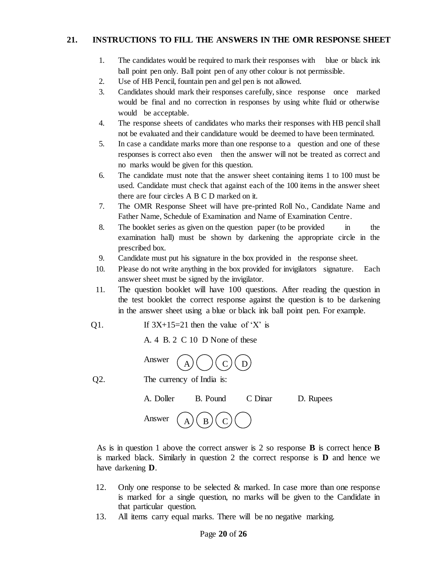#### **21. INSTRUCTIONS TO FILL THE ANSWERS IN THE OMR RESPONSE SHEET**

- 1. The candidates would be required to mark their responses with blue or black ink ball point pen only. Ball point pen of any other colour is not permissible.
- 2. Use of HB Pencil, fountain pen and gel pen is not allowed.
- 3. Candidates should mark their responses carefully, since response once marked would be final and no correction in responses by using white fluid or otherwise would be acceptable.
- 4. The response sheets of candidates who marks their responses with HB pencil shall not be evaluated and their candidature would be deemed to have been terminated.
- 5. In case a candidate marks more than one response to a question and one of these responses is correct also even then the answer will not be treated as correct and no marks would be given for this question.
- 6. The candidate must note that the answer sheet containing items 1 to 100 must be used. Candidate must check that against each of the 100 items in the answer sheet there are four circles A B C D marked on it.
- 7. The OMR Response Sheet will have pre-printed Roll No., Candidate Name and Father Name, Schedule of Examination and Name of Examination Centre.
- 8. The booklet series as given on the question paper (to be provided in the examination hall) must be shown by darkening the appropriate circle in the prescribed box.
- 9. Candidate must put his signature in the box provided in the response sheet.
- 10. Please do not write anything in the box provided for invigilators signature. Each answer sheet must be signed by the invigilator.
- 11. The question booklet will have 100 questions. After reading the question in the test booklet the correct response against the question is to be darkening in the answer sheet using a blue or black ink ball point pen. For example.
- Q1. If  $3X+15=21$  then the value of 'X' is

A. 4 B. 2 C 10 D None of these



Q2. The currency of India is:

|                                                 | A. Doller B. Pound C Dinar D. Rupees |  |
|-------------------------------------------------|--------------------------------------|--|
| Answer $\binom{A}{A} \binom{B}{C} \binom{C}{C}$ |                                      |  |

As is in question 1 above the correct answer is 2 so response **B** is correct hence **B** is marked black. Similarly in question 2 the correct response is **D** and hence we have darkening **D**.

- 12. Only one response to be selected & marked. In case more than one response is marked for a single question, no marks will be given to the Candidate in that particular question.
- 13. All items carry equal marks. There will be no negative marking.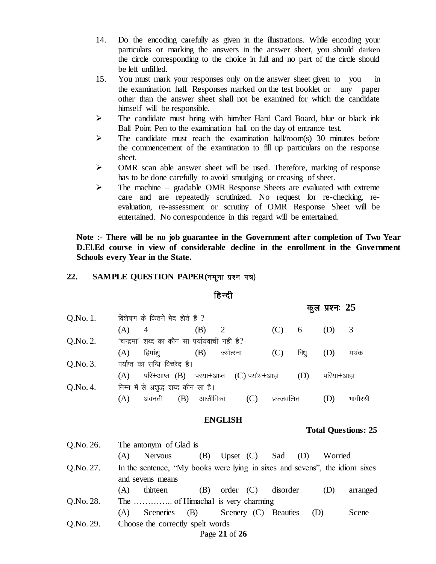- 14. Do the encoding carefully as given in the illustrations. While encoding your particulars or marking the answers in the answer sheet, you should darken the circle corresponding to the choice in full and no part of the circle should be left unfilled.
- 15. You must mark your responses only on the answer sheet given to you in the examination hall. Responses marked on the test booklet or any paper other than the answer sheet shall not be examined for which the candidate himself will be responsible.
- The candidate must bring with him/her Hard Card Board, blue or black ink Ball Point Pen to the examination hall on the day of entrance test.
- $\triangleright$  The candidate must reach the examination hall/room(s) 30 minutes before the commencement of the examination to fill up particulars on the response sheet.
- OMR scan able answer sheet will be used. Therefore, marking of response has to be done carefully to avoid smudging or creasing of sheet.
- $\triangleright$  The machine gradable OMR Response Sheets are evaluated with extreme care and are repeatedly scrutinized. No request for re-checking, reevaluation, re-assessment or scrutiny of OMR Response Sheet will be entertained. No correspondence in this regard will be entertained.

**Note :- There will be no job guarantee in the Government after completion of Two Year D.El.Ed course in view of considerable decline in the enrollment in the Government Schools every Year in the State.**

#### 22. **SAMPLE QUESTION PAPER(नमूना प्रश्न पत्र)**

#### हिन्दी

कूल प्रश्नः 25  $Q.No. 1.$  विशेषण के कितने भेद होते हैं ? (A) 4 (B) 2 (C) 6 (D) 3  $Q.No. 2.$  "चन्द्रमा" शब्द का कौन सा पर्यायवाची नहीं है?  $(A)$  हिमांशु  $(B)$  ज्योत्स्ना  $(C)$  विधु  $(D)$  मयंक  $Q.No. 3.$  पर्याप्त का सन्धि विच्छेद है।  $(A)$  परि+आप्त $(B)$  परया+आप्त  $(C)$  पर्याय+आहा $(D)$  परिया+आहा  $Q.No. 4.$  निम्न में से अशुद्ध शब्द कौन सा है।  $(A)$  अवनती  $(B)$  आजीविका  $(C)$  प्रज्जवलित  $(D)$  भागीरथी

#### **ENGLISH**

#### **Total Questions: 25**

| Q.No. 26. | The antonym of Glad is                                                      |                                    |                      |     |         |          |
|-----------|-----------------------------------------------------------------------------|------------------------------------|----------------------|-----|---------|----------|
|           | Nervous<br>(A)                                                              | (B)<br>Upset (C) Sad               |                      | (D) | Worried |          |
| Q.No. 27. | In the sentence, "My books were lying in sixes and sevens", the idiom sixes |                                    |                      |     |         |          |
|           | and sevens means                                                            |                                    |                      |     |         |          |
|           | thirteen<br>(A)                                                             | (B)                                | $order (C)$ disorder |     | (D)     | arranged |
| Q.No. 28. |                                                                             |                                    |                      |     |         |          |
|           | (A)                                                                         | Sceneries (B) Scenery (C) Beauties |                      |     | (D)     | Scene    |
| Q.No. 29. | Choose the correctly spelt words                                            |                                    |                      |     |         |          |
|           |                                                                             | Page 21 of 26                      |                      |     |         |          |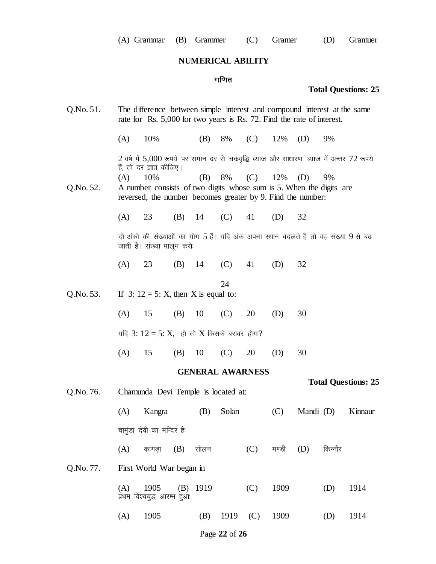# **NUMERICAL ABILITY**

# गणित

#### **Total Questions: 25**

| Q.No. 51. | The difference between simple interest and compound interest at the same<br>rate for Rs. 5,000 for two years is Rs. 72. Find the rate of interest. |                                                             |     |     |                      |     |     |     |                                                                                          |
|-----------|----------------------------------------------------------------------------------------------------------------------------------------------------|-------------------------------------------------------------|-----|-----|----------------------|-----|-----|-----|------------------------------------------------------------------------------------------|
|           | (A)                                                                                                                                                | 10%                                                         |     | (B) | 8%                   | (C) | 12% | (D) | 9%                                                                                       |
|           |                                                                                                                                                    | हैं, तो दर ज्ञात कीजिए।                                     |     |     |                      |     |     |     | 2 वर्ष में 5,000 रूपये पर समान दर से चक्रवृद्धि ब्याज और साधारण ब्याज में अन्तर 72 रूपये |
|           | (A)                                                                                                                                                | 10%                                                         |     |     | (B) $8\%$ (C) $12\%$ |     |     | (D) | 9%                                                                                       |
| Q.No. 52. |                                                                                                                                                    |                                                             |     |     |                      |     |     |     | A number consists of two digits whose sum is 5. When the digits are                      |
|           |                                                                                                                                                    | reversed, the number becomes greater by 9. Find the number: |     |     |                      |     |     |     |                                                                                          |
|           |                                                                                                                                                    |                                                             |     |     |                      |     |     |     |                                                                                          |
|           | (A)                                                                                                                                                | 23                                                          | (B) | 14  | $(C)$ 41             |     | (D) | 32  |                                                                                          |
|           |                                                                                                                                                    | जाती है। संख्या मालूम करो                                   |     |     |                      |     |     |     | दो अंको की संख्याओं का योग 5 हैं। यदि अंक अपना स्थान बदलते हैं तो वह संख्या 9 से बढ़     |
|           | (A)                                                                                                                                                | 23                                                          |     |     | (B) $14$ (C) $41$    |     | (D) | 32  |                                                                                          |
|           |                                                                                                                                                    |                                                             |     |     | 24                   |     |     |     |                                                                                          |
| Q.No. 53. |                                                                                                                                                    | If $3: 12 = 5$ : X, then X is equal to:                     |     |     |                      |     |     |     |                                                                                          |
|           | (A)                                                                                                                                                | 15                                                          | (B) | 10  | (C)                  | 20  | (D) | 30  |                                                                                          |
|           |                                                                                                                                                    | यदि 3: $12 = 5$ : X, हो तो X किसके बराबर होगा?              |     |     |                      |     |     |     |                                                                                          |
|           |                                                                                                                                                    |                                                             |     |     |                      |     |     |     |                                                                                          |

(A) 15 (B) 10 (C) 20 (D) 30

#### **GENERAL AWARNESS**

| Q.No. 76. |     | Chamunda Devi Temple is located at: |     |            |       |     |       | <b>Total Questions: 25</b> |         |         |  |  |  |
|-----------|-----|-------------------------------------|-----|------------|-------|-----|-------|----------------------------|---------|---------|--|--|--|
|           | (A) | Kangra                              |     | (B)        | Solan |     | (C)   | Mandi (D)                  |         | Kinnaur |  |  |  |
|           |     | चामुंडा देवी का मन्दिर है.          |     |            |       |     |       |                            |         |         |  |  |  |
|           | (A) | कांगडा                              | (B) | सोलन       |       | (C) | मण्डी | (D)                        | किन्नौर |         |  |  |  |
| Q.No. 77. |     | First World War began in            |     |            |       |     |       |                            |         |         |  |  |  |
|           | (A) | 1905<br>प्रथम विश्वयुद्ध आरम्भ हुआः |     | $(B)$ 1919 |       | (C) | 1909  |                            | (D)     | 1914    |  |  |  |
|           | (A) | 1905                                |     | (B)        | 1919  | (C) | 1909  |                            | (D)     | 1914    |  |  |  |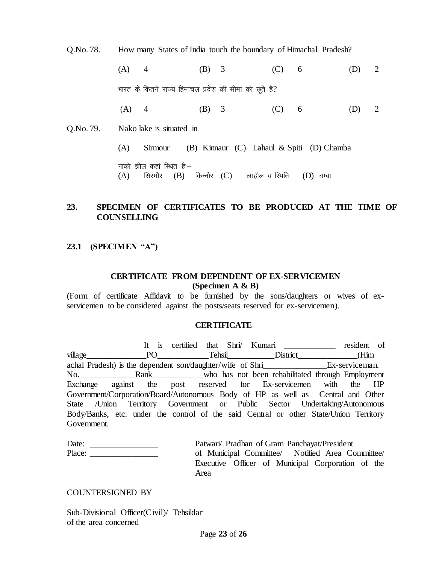Q.No. 78. How many States of India touch the boundary of Himachal Pradesh?

(A) 4 (B) 3 (C) 6 (D) 2 भारत के कितने राज्य हिमाचल प्रदेश की सीमा को छूते हैं? (A) 4 (B) 3 (C) 6 (D) 2 Q.No. 79. Nako lake is situated in (A) Sirmour (B) Kinnaur (C) Lahaul & Spiti (D) Chamba नाको झील कहा स्थित है: $(A)$  सिरमौर  $(B)$  किन्नौर  $(C)$  लाहौल व स्पिति  $(D)$  चम्बा

#### **23. SPECIMEN OF CERTIFICATES TO BE PRODUCED AT THE TIME OF COUNSELLING**

#### **23.1 (SPECIMEN "A")**

#### **CERTIFICATE FROM DEPENDENT OF EX-SERVICEMEN (Specimen A & B)**

(Form of certificate Affidavit to be furnished by the sons/daughters or wives of exservicemen to be considered against the posts/seats reserved for ex-servicemen).

#### **CERTIFICATE**

It is certified that Shri/ Kumari and resident of village\_\_\_\_\_\_\_\_\_\_\_\_\_\_PO\_\_\_\_\_\_\_\_\_\_\_\_Tehsil\_\_\_\_\_\_\_\_\_\_\_District\_\_\_\_\_\_\_\_\_\_\_\_\_\_(Him achal Pradesh) is the dependent son/daughter/wife of Shri Ex-serviceman. No.\_\_\_\_\_\_\_\_\_\_\_\_\_Rank\_\_\_\_\_\_\_\_\_\_\_\_who has not been rehabilitated through Employment Exchange against the post reserved for Ex-servicemen with the HP Government/Corporation/Board/Autonomous Body of HP as well as Central and Other State /Union Territory Government or Public Sector Undertaking/Autonomous Body/Banks, etc. under the control of the said Central or other State/Union Territory Government.

| Date:  | Patwari/ Pradhan of Gram Panchayat/President     |  |  |  |                                                   |  |  |  |  |  |
|--------|--------------------------------------------------|--|--|--|---------------------------------------------------|--|--|--|--|--|
| Place: | of Municipal Committee/ Notified Area Committee/ |  |  |  |                                                   |  |  |  |  |  |
|        |                                                  |  |  |  | Executive Officer of Municipal Corporation of the |  |  |  |  |  |
|        | Area                                             |  |  |  |                                                   |  |  |  |  |  |

#### COUNTERSIGNED BY

Sub-Divisional Officer(Civil)/ Tehsildar of the area concerned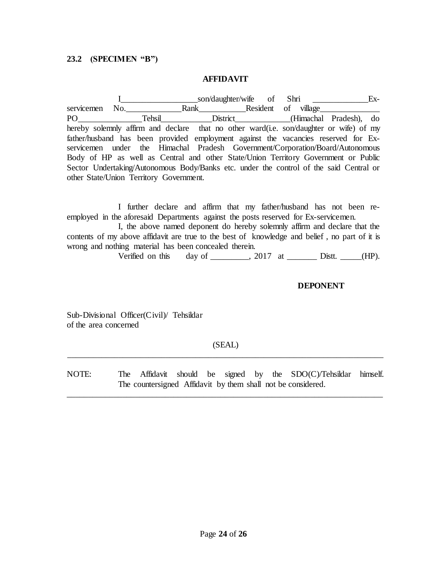#### **23.2 (SPECIMEN "B")**

#### **AFFIDAVIT**

I\_\_\_\_\_\_\_\_\_\_\_\_\_\_\_\_\_\_son/daughter/wife of Shri \_\_\_\_\_\_\_\_\_\_\_\_\_Exservicemen No. Rank Resident of village PO<sup>Tehsil</sup> District\_\_\_\_\_\_\_\_\_(Himachal Pradesh), do hereby solemnly affirm and declare that no other ward(i.e. son/daughter or wife) of my father/husband has been provided employment against the vacancies reserved for Exservicemen under the Himachal Pradesh Government/Corporation/Board/Autonomous Body of HP as well as Central and other State/Union Territory Government or Public Sector Undertaking/Autonomous Body/Banks etc. under the control of the said Central or other State/Union Territory Government.

I further declare and affirm that my father/husband has not been reemployed in the aforesaid Departments against the posts reserved for Ex-servicemen.

I, the above named deponent do hereby solemnly affirm and declare that the contents of my above affidavit are true to the best of knowledge and belief , no part of it is wrong and nothing material has been concealed therein.

Verified on this day of \_\_\_\_\_\_\_, 2017 at \_\_\_\_\_\_\_ Distt. \_\_\_\_(HP).

#### **DEPONENT**

Sub-Divisional Officer(Civil)/ Tehsildar of the area concerned

#### (SEAL) \_\_\_\_\_\_\_\_\_\_\_\_\_\_\_\_\_\_\_\_\_\_\_\_\_\_\_\_\_\_\_\_\_\_\_\_\_\_\_\_\_\_\_\_\_\_\_\_\_\_\_\_\_\_\_\_\_\_\_\_\_\_\_\_\_\_\_\_\_\_\_\_\_\_

NOTE: The Affidavit should be signed by the SDO(C)/Tehsildar himself. The countersigned Affidavit by them shall not be considered.

\_\_\_\_\_\_\_\_\_\_\_\_\_\_\_\_\_\_\_\_\_\_\_\_\_\_\_\_\_\_\_\_\_\_\_\_\_\_\_\_\_\_\_\_\_\_\_\_\_\_\_\_\_\_\_\_\_\_\_\_\_\_\_\_\_\_\_\_\_\_\_\_\_\_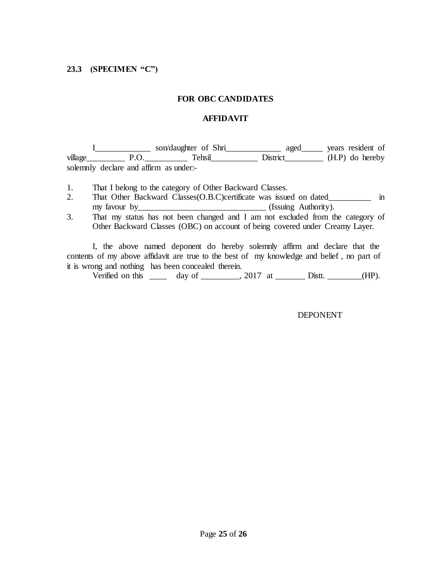#### **FOR OBC CANDIDATES**

#### **AFFIDAVIT**

I\_\_\_\_\_\_\_\_\_\_\_\_\_ son/daughter of Shri\_\_\_\_\_\_\_\_\_\_\_\_\_ aged\_\_\_\_\_ years resident of village\_\_\_\_\_\_\_\_\_ P.O.\_\_\_\_\_\_\_\_\_\_ Tehsil\_\_\_\_\_\_\_\_\_\_\_ District\_\_\_\_\_\_\_\_\_ (H.P) do hereby solemnly declare and affirm as under:-

- 1. That I belong to the category of Other Backward Classes.
- 2. That Other Backward Classes (O.B.C)certificate was issued on dated in my favour by\_\_\_\_\_\_\_\_\_\_\_\_\_\_\_\_\_\_\_\_\_\_\_\_\_\_\_\_\_\_ (Issuing Authority).
- 3. That my status has not been changed and I am not excluded from the category of Other Backward Classes (OBC) on account of being covered under Creamy Layer.

I, the above named deponent do hereby solemnly affirm and declare that the contents of my above affidavit are true to the best of my knowledge and belief , no part of it is wrong and nothing has been concealed therein.

Verified on this  $\frac{1}{\sqrt{2}}$  day of  $\frac{1}{\sqrt{2}}$  2017 at  $\frac{1}{\sqrt{2}}$  Distt.  $\frac{1}{\sqrt{2}}$  (HP).

#### DEPONENT